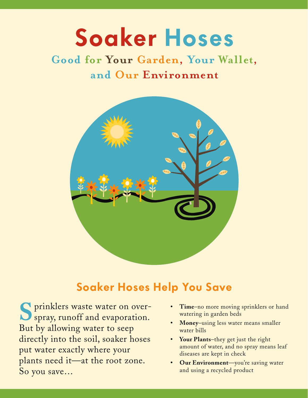# **Soaker Hoses**

# **Good for Your Garden, Your Wallet, and Our Environment**



# **Soaker Hoses Help You Save**

S prinklers waste water on over-But by allowing water to seep directly into the soil, soaker hoses put water exactly where your plants need it—at the root zone. So you save…

- **Time**–no more moving sprinklers or hand watering in garden beds
- **Money**–using less water means smaller water bills
- **Your Plants**–they get just the right amount of water, and no spray means leaf diseases are kept in check
- **Our Environment**—you're saving water and using a recycled product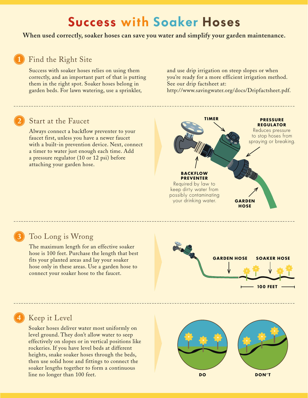# **Success with Soaker Hoses**

**When used correctly, soaker hoses can save you water and simplify your garden maintenance.**

#### Find the Right Site

Success with soaker hoses relies on using them correctly, and an important part of that is putting them in the right spot. Soaker hoses belong in garden beds. For lawn watering, use a sprinkler,

and use drip irrigation on steep slopes or when you're ready for a more efficient irrigation method. See our drip factsheet at:

http://www.savingwater.org/docs/Dripfactsheet.pdf.

## Start at the Faucet

Always connect a backflow preventer to your faucet first, unless you have a newer faucet with a built-in prevention device. Next, connect a timer to water just enough each time. Add a pressure regulator (10 or 12 psi) before attaching your garden hose.



#### Too Long is Wrong

The maximum length for an effective soaker hose is 100 feet. Purchase the length that best fits your planted areas and lay your soaker hose only in these areas. Use a garden hose to connect your soaker hose to the faucet.



## Keep it Level

Soaker hoses deliver water most uniformly on level ground. They don't allow water to seep effectively on slopes or in vertical positions like rockeries. If you have level beds at different heights, snake soaker hoses through the beds, then use solid hose and fittings to connect the soaker lengths together to form a continuous line no longer than 100 feet. **DO DON'T**

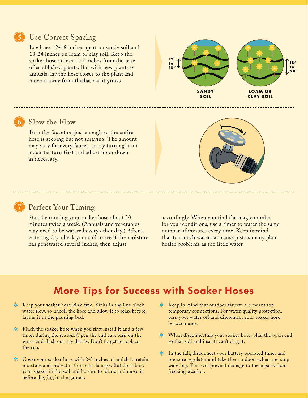#### Use Correct Spacing

Lay lines 12-18 inches apart on sandy soil and 18-24 inches on loam or clay soil. Keep the soaker hose at least 1-2 inches from the base of established plants. But with new plants or annuals, lay the hose closer to the plant and move it away from the base as it grows.



#### Slow the Flow

Turn the faucet on just enough so the entire hose is seeping but not spraying. The amount may vary for every faucet, so try turning it on a quarter turn first and adjust up or down as necessary.



#### Perfect Your Timing

Start by running your soaker hose about 30 minutes twice a week. (Annuals and vegetables may need to be watered every other day.) After a watering day, check your soil to see if the moisture has penetrated several inches, then adjust

accordingly. When you find the magic number for your conditions, use a timer to water the same number of minutes every time. Keep in mind that too much water can cause just as many plant health problems as too little water.

## **More Tips for Success with Soaker Hoses**

- Keep your soaker hose kink-free. Kinks in the line block water flow, so uncoil the hose and allow it to relax before laying it in the planting bed.
- $*$  Flush the soaker hose when you first install it and a few times during the season. Open the end cap, turn on the water and flush out any debris. Don't forget to replace the cap.
- \* Cover your soaker hose with 2-3 inches of mulch to retain moisture and protect it from sun damage. But don't bury your soaker in the soil and be sure to locate and move it before digging in the garden.
- $\ast$  Keep in mind that outdoor faucets are meant for temporary connections. For water quality protection, turn your water off and disconnect your soaker hose between uses.
- $\ast$  When disconnecting your soaker hose, plug the open end so that soil and insects can't clog it.
- \* In the fall, disconnect your battery operated timer and pressure regulator and take them indoors when you stop watering. This will prevent damage to these parts from freezing weather.